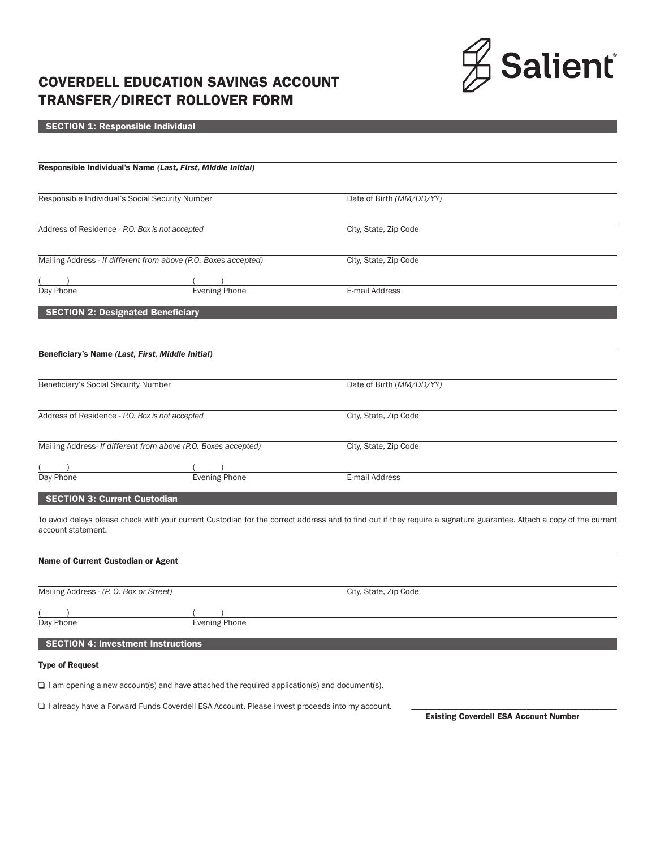

# COVERDELL EDUCATION SAVINGS ACCOUNT TRANSFER/DIRECT ROLLOVER FORM

# SECTION 1: Responsible Individual

|                                                  | Responsible Individual's Name (Last, First, Middle Initial)     |                          |  |
|--------------------------------------------------|-----------------------------------------------------------------|--------------------------|--|
| Responsible Individual's Social Security Number  |                                                                 | Date of Birth (MM/DD/YY) |  |
| Address of Residence - P.O. Box is not accepted  |                                                                 | City, State, Zip Code    |  |
|                                                  | Mailing Address - If different from above (P.O. Boxes accepted) | City, State, Zip Code    |  |
|                                                  |                                                                 |                          |  |
| Day Phone                                        | Evening Phone                                                   | E-mail Address           |  |
| <b>SECTION 2: Designated Beneficiary</b>         |                                                                 |                          |  |
|                                                  |                                                                 |                          |  |
| Beneficiary's Name (Last, First, Middle Initial) |                                                                 |                          |  |
| Beneficiary's Social Security Number             |                                                                 | Date of Birth (MM/DD/YY) |  |
| Address of Residence - P.O. Box is not accepted  |                                                                 | City, State, Zip Code    |  |
|                                                  | Mailing Address- If different from above (P.O. Boxes accepted)  | City, State, Zip Code    |  |
|                                                  |                                                                 |                          |  |
| Day Phone                                        | <b>Evening Phone</b>                                            | E-mail Address           |  |
| <b>SECTION 3: Current Custodian</b>              |                                                                 |                          |  |

To avoid delays please check with your current Custodian for the correct address and to find out if they require a signature guarantee. Attach a copy of the current account statement.

## Name of Current Custodian or Agent

| Mailing Address - (P. O. Box or Street)   |               | City, State, Zip Code |
|-------------------------------------------|---------------|-----------------------|
| Day Phone                                 | Evening Phone |                       |
| <b>SECTION 4: Investment Instructions</b> |               |                       |

# Type of Request

 $\Box$  I am opening a new account(s) and have attached the required application(s) and document(s).

 $\square$  I already have a Forward Funds Coverdell ESA Account. Please invest proceeds into my account.

Existing Coverdell ESA Account Number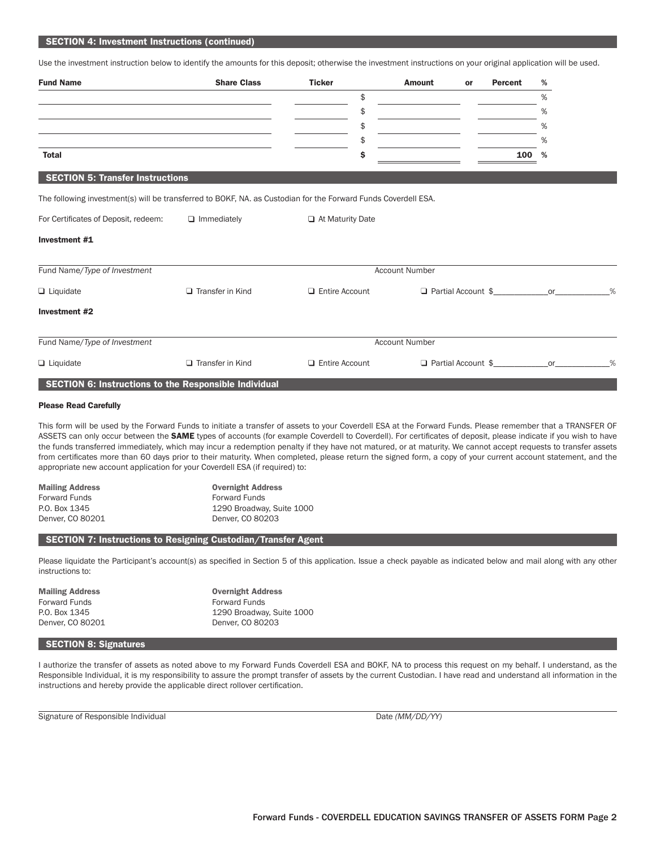#### SECTION 4: Investment Instructions (continued)

Use the investment instruction below to identify the amounts for this deposit; otherwise the investment instructions on your original application will be used.

| <b>Fund Name</b>                                                                                               | <b>Share Class</b>      | <b>Ticker</b>         | <b>Amount</b>         | or                        | %<br>Percent |   |
|----------------------------------------------------------------------------------------------------------------|-------------------------|-----------------------|-----------------------|---------------------------|--------------|---|
|                                                                                                                |                         | \$                    |                       |                           | %            |   |
|                                                                                                                |                         | \$                    |                       |                           | %            |   |
|                                                                                                                |                         | \$                    |                       |                           | %            |   |
|                                                                                                                |                         | \$                    |                       |                           | %            |   |
| <b>Total</b>                                                                                                   |                         | \$                    |                       |                           | %<br>100     |   |
| <b>SECTION 5: Transfer Instructions</b>                                                                        |                         |                       |                       |                           |              |   |
| The following investment(s) will be transferred to BOKF, NA. as Custodian for the Forward Funds Coverdell ESA. |                         |                       |                       |                           |              |   |
| For Certificates of Deposit, redeem:                                                                           | $\Box$ Immediately      | At Maturity Date      |                       |                           |              |   |
| Investment #1                                                                                                  |                         |                       |                       |                           |              |   |
| Fund Name/Type of Investment                                                                                   |                         |                       | <b>Account Number</b> |                           |              |   |
| $\Box$ Liquidate                                                                                               | $\Box$ Transfer in Kind | <b>Entire Account</b> |                       | $\Box$ Partial Account \$ | or           | % |
| Investment #2                                                                                                  |                         |                       |                       |                           |              |   |
| Fund Name/Type of Investment                                                                                   |                         |                       | <b>Account Number</b> |                           |              |   |
| $\Box$ Liquidate                                                                                               | $\Box$ Transfer in Kind | <b>Entire Account</b> |                       | □ Partial Account \$      | or           | % |
| SECTION 6: Instructions to the Responsible Individual                                                          |                         |                       |                       |                           |              |   |

#### Please Read Carefully

This form will be used by the Forward Funds to initiate a transfer of assets to your Coverdell ESA at the Forward Funds. Please remember that a TRANSFER OF ASSETS can only occur between the SAME types of accounts (for example Coverdell to Coverdell). For certificates of deposit, please indicate if you wish to have the funds transferred immediately, which may incur a redemption penalty if they have not matured, or at maturity. We cannot accept requests to transfer assets from certificates more than 60 days prior to their maturity. When completed, please return the signed form, a copy of your current account statement, and the appropriate new account application for your Coverdell ESA (if required) to:

| <b>Overnight Address</b>  |
|---------------------------|
| <b>Forward Funds</b>      |
| 1290 Broadway, Suite 1000 |
| Denver, CO 80203          |
|                           |

### SECTION 7: Instructions to Resigning Custodian/Transfer Agent

Please liquidate the Participant's account(s) as specified in Section 5 of this application. Issue a check payable as indicated below and mail along with any other instructions to:

| <b>Mailing Address</b> | <b>Overnight Address</b>  |
|------------------------|---------------------------|
| <b>Forward Funds</b>   | <b>Forward Funds</b>      |
| P.O. Box 1345          | 1290 Broadway, Suite 1000 |
| Denver, CO 80201       | Denver, CO 80203          |
|                        |                           |

#### SECTION 8: Signatures

I authorize the transfer of assets as noted above to my Forward Funds Coverdell ESA and BOKF, NA to process this request on my behalf. I understand, as the Responsible Individual, it is my responsibility to assure the prompt transfer of assets by the current Custodian. I have read and understand all information in the instructions and hereby provide the applicable direct rollover certification.

Signature of Responsible Individual Date *(MM/DD/YY)* Date *(MM/DD/YY)*